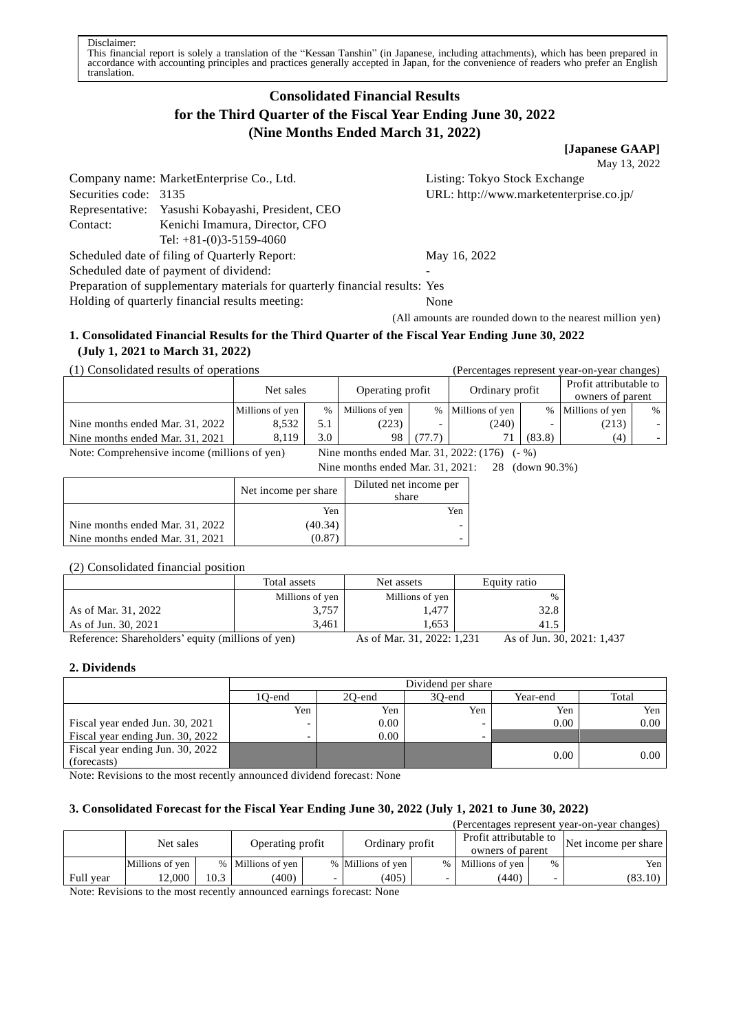# **Consolidated Financial Results for the Third Quarter of the Fiscal Year Ending June 30, 2022 (Nine Months Ended March 31, 2022)**

**[Japanese GAAP]**

May 13, 2022

Company name: MarketEnterprise Co., Ltd. Listing: Tokyo Stock Exchange Securities code: 3135 URL: http://www.marketenterprise.co.jp/ Representative: Yasushi Kobayashi, President, CEO Contact: Kenichi Imamura, Director, CFO Tel: +81-(0)3-5159-4060 Scheduled date of filing of Quarterly Report: May 16, 2022

Scheduled date of payment of dividend:

Preparation of supplementary materials for quarterly financial results: Yes

Holding of quarterly financial results meeting: None

(All amounts are rounded down to the nearest million yen)

## **1. Consolidated Financial Results for the Third Quarter of the Fiscal Year Ending June 30, 2022 (July 1, 2021 to March 31, 2022)**

(1) Consolidated results of operations (Percentages represent year-on-year changes)

|                                                                                                   | Net sales       |      | Operating profit |        | Ordinary profit   |        | Profit attributable to<br>owners of parent |                          |  |
|---------------------------------------------------------------------------------------------------|-----------------|------|------------------|--------|-------------------|--------|--------------------------------------------|--------------------------|--|
|                                                                                                   | Millions of yen | $\%$ | Millions of yen  |        | % Millions of yen |        | % Millions of yen                          | $\%$                     |  |
| Nine months ended Mar. 31, 2022                                                                   | 8.532           | 5.1  | (223)            |        | (240)             |        | (213)                                      | $\overline{\phantom{0}}$ |  |
| Nine months ended Mar. 31, 2021                                                                   | 8.119           | 3.0  | 98               | (77.7) |                   | (83.8) | (4)                                        |                          |  |
| Note: Comprehensive income (millions of yen)<br>Nine months ended Mar. 31, 2022: (176)<br>$(-\%)$ |                 |      |                  |        |                   |        |                                            |                          |  |

Nine months ended Mar. 31, 2021: 28 (down 90.3%)

|                                 | Net income per share | Diluted net income per<br>share |
|---------------------------------|----------------------|---------------------------------|
|                                 | Yen                  | Yen                             |
| Nine months ended Mar. 31, 2022 | (40.34)              |                                 |
| Nine months ended Mar. 31, 2021 | (0.87                |                                 |

#### (2) Consolidated financial position

|                                                                             | Total assets    | Net assets                | Equity ratio                            |  |
|-----------------------------------------------------------------------------|-----------------|---------------------------|-----------------------------------------|--|
|                                                                             | Millions of yen | Millions of yen           | $\%$                                    |  |
| As of Mar. 31, 2022                                                         | 3,757           | 1.477                     | 32.8                                    |  |
| As of Jun. 30, 2021                                                         | 3.461           | 1.653                     |                                         |  |
| $\mathbf{D}$ , formally Channels of Jane , and the function of $\mathbf{L}$ |                 | $A = -4 M - 21 2022 1221$ | $A = -1$ L <sub>2</sub> $A = 0$ $A = 0$ |  |

Reference: Shareholders' equity (millions of yen) As of Mar. 31, 2022: 1,231 As of Jun. 30, 2021: 1,437

# **2. Dividends**

|                                  |                          | Dividend per share                    |                          |      |      |  |  |  |  |
|----------------------------------|--------------------------|---------------------------------------|--------------------------|------|------|--|--|--|--|
|                                  | 1O-end                   | Year-end<br>Total<br>20-end<br>30-end |                          |      |      |  |  |  |  |
|                                  | Yen                      | Yen                                   | Yen                      | Yen  | Yen  |  |  |  |  |
| Fiscal year ended Jun. 30, 2021  | -                        | 0.00                                  | $\overline{\phantom{0}}$ | 0.00 | 0.00 |  |  |  |  |
| Fiscal year ending Jun. 30, 2022 | $\overline{\phantom{0}}$ | 0.00                                  | $\overline{\phantom{0}}$ |      |      |  |  |  |  |
| Fiscal year ending Jun. 30, 2022 |                          |                                       |                          | 0.00 | 0.00 |  |  |  |  |
| (forecasts)                      |                          |                                       |                          |      |      |  |  |  |  |

Note: Revisions to the most recently announced dividend forecast: None

# **3. Consolidated Forecast for the Fiscal Year Ending June 30, 2022 (July 1, 2021 to June 30, 2022)**

| (Percentages represent year-on-year changes) |                               |      |                   |  |                                            |  |                      |               |         |
|----------------------------------------------|-------------------------------|------|-------------------|--|--------------------------------------------|--|----------------------|---------------|---------|
|                                              | Operating profit<br>Net sales |      | Ordinary profit   |  | Profit attributable to<br>owners of parent |  | Net income per share |               |         |
|                                              | Millions of yen               |      | % Millions of yen |  | % Millions of yen                          |  | % Millions of yen    | $\frac{0}{0}$ | Yen     |
| Full year                                    | 12.000                        | 10.3 | (400)             |  | (405)                                      |  | (440)                |               | (83.10) |

Note: Revisions to the most recently announced earnings forecast: None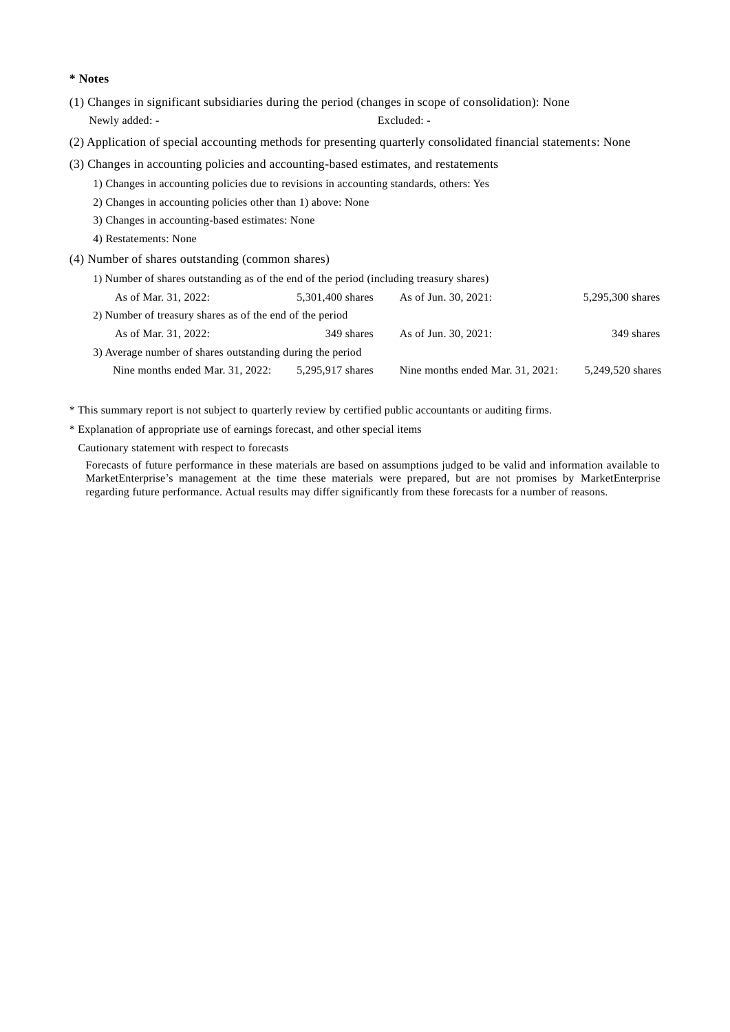#### **\* Notes**

- (1) Changes in significant subsidiaries during the period (changes in scope of consolidation): None Newly added: - Excluded: -
- (2) Application of special accounting methods for presenting quarterly consolidated financial statements: None
- (3) Changes in accounting policies and accounting-based estimates, and restatements
	- 1) Changes in accounting policies due to revisions in accounting standards, others: Yes
	- 2) Changes in accounting policies other than 1) above: None
	- 3) Changes in accounting-based estimates: None
	- 4) Restatements: None
- (4) Number of shares outstanding (common shares)

| 1) Number of shares outstanding as of the end of the period (including treasury shares) |                  |                                  |                  |  |  |  |  |  |
|-----------------------------------------------------------------------------------------|------------------|----------------------------------|------------------|--|--|--|--|--|
| As of Mar. 31, 2022:                                                                    | 5,301,400 shares | As of Jun. 30, 2021:             | 5,295,300 shares |  |  |  |  |  |
| 2) Number of treasury shares as of the end of the period                                |                  |                                  |                  |  |  |  |  |  |
| As of Mar. 31, 2022:                                                                    | 349 shares       | As of Jun. 30, 2021:             | 349 shares       |  |  |  |  |  |
| 3) Average number of shares outstanding during the period                               |                  |                                  |                  |  |  |  |  |  |
| Nine months ended Mar. 31, 2022:                                                        | 5,295,917 shares | Nine months ended Mar. 31, 2021: | 5.249.520 shares |  |  |  |  |  |

\* This summary report is not subject to quarterly review by certified public accountants or auditing firms.

\* Explanation of appropriate use of earnings forecast, and other special items

Cautionary statement with respect to forecasts

Forecasts of future performance in these materials are based on assumptions judged to be valid and information available to MarketEnterprise's management at the time these materials were prepared, but are not promises by MarketEnterprise regarding future performance. Actual results may differ significantly from these forecasts for a number of reasons.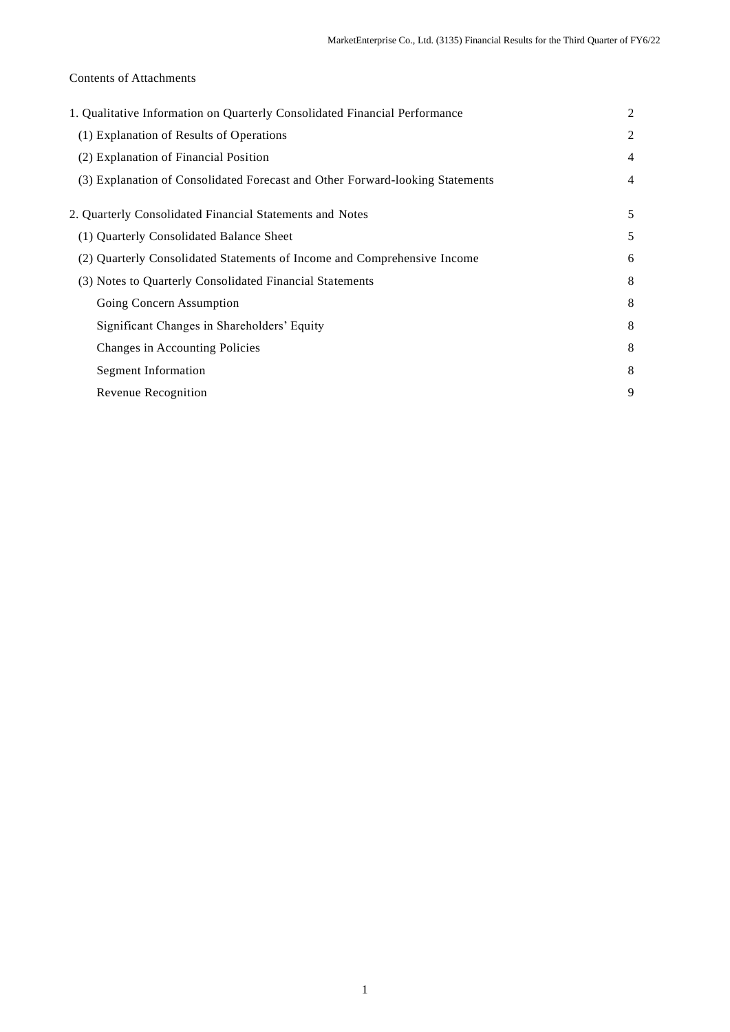# Contents of Attachments

| 1. Qualitative Information on Quarterly Consolidated Financial Performance    | $\overline{2}$ |
|-------------------------------------------------------------------------------|----------------|
| (1) Explanation of Results of Operations                                      | 2              |
| (2) Explanation of Financial Position                                         | 4              |
| (3) Explanation of Consolidated Forecast and Other Forward-looking Statements | 4              |
| 2. Quarterly Consolidated Financial Statements and Notes                      | 5              |
| (1) Quarterly Consolidated Balance Sheet                                      | 5              |
| (2) Quarterly Consolidated Statements of Income and Comprehensive Income      | 6              |
| (3) Notes to Quarterly Consolidated Financial Statements                      | 8              |
| Going Concern Assumption                                                      | 8              |
| Significant Changes in Shareholders' Equity                                   | 8              |
| Changes in Accounting Policies                                                | 8              |
| Segment Information                                                           | 8              |
| Revenue Recognition                                                           | 9              |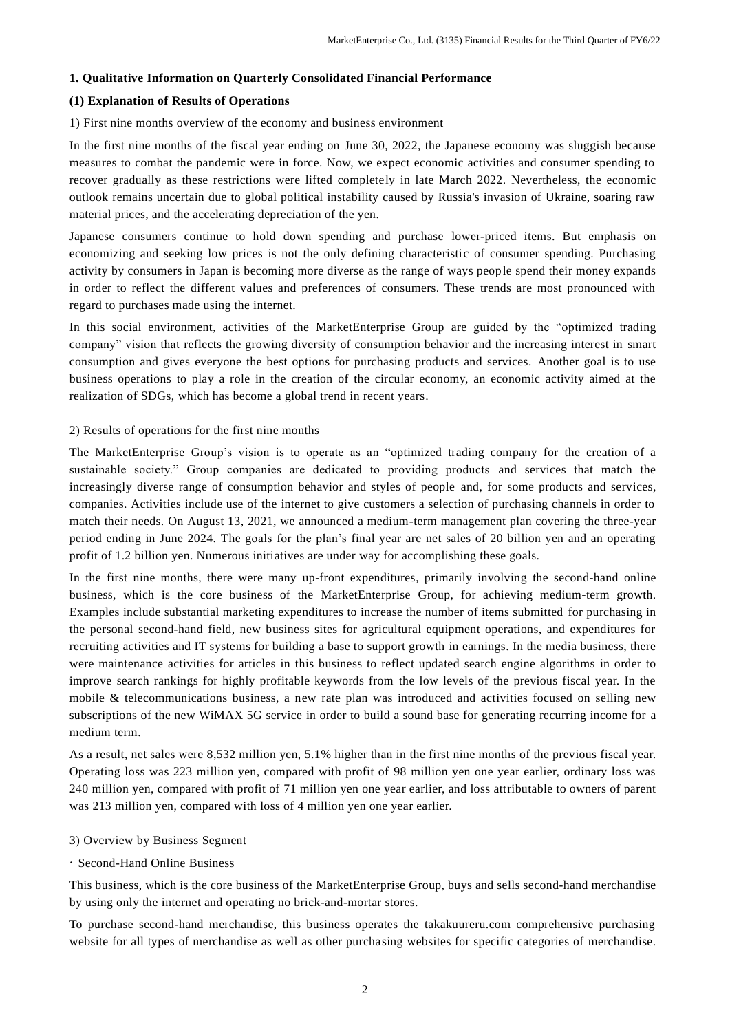#### **1. Qualitative Information on Quarterly Consolidated Financial Performance**

### **(1) Explanation of Results of Operations**

1) First nine months overview of the economy and business environment

In the first nine months of the fiscal year ending on June 30, 2022, the Japanese economy was sluggish because measures to combat the pandemic were in force. Now, we expect economic activities and consumer spending to recover gradually as these restrictions were lifted completely in late March 2022. Nevertheless, the economic outlook remains uncertain due to global political instability caused by Russia's invasion of Ukraine, soaring raw material prices, and the accelerating depreciation of the yen.

Japanese consumers continue to hold down spending and purchase lower-priced items. But emphasis on economizing and seeking low prices is not the only defining characteristic of consumer spending. Purchasing activity by consumers in Japan is becoming more diverse as the range of ways people spend their money expands in order to reflect the different values and preferences of consumers. These trends are most pronounced with regard to purchases made using the internet.

In this social environment, activities of the MarketEnterprise Group are guided by the "optimized trading company" vision that reflects the growing diversity of consumption behavior and the increasing interest in smart consumption and gives everyone the best options for purchasing products and services. Another goal is to use business operations to play a role in the creation of the circular economy, an economic activity aimed at the realization of SDGs, which has become a global trend in recent years.

#### 2) Results of operations for the first nine months

The MarketEnterprise Group's vision is to operate as an "optimized trading company for the creation of a sustainable society." Group companies are dedicated to providing products and services that match the increasingly diverse range of consumption behavior and styles of people and, for some products and services, companies. Activities include use of the internet to give customers a selection of purchasing channels in order to match their needs. On August 13, 2021, we announced a medium-term management plan covering the three-year period ending in June 2024. The goals for the plan's final year are net sales of 20 billion yen and an operating profit of 1.2 billion yen. Numerous initiatives are under way for accomplishing these goals.

In the first nine months, there were many up-front expenditures, primarily involving the second-hand online business, which is the core business of the MarketEnterprise Group, for achieving medium-term growth. Examples include substantial marketing expenditures to increase the number of items submitted for purchasing in the personal second-hand field, new business sites for agricultural equipment operations, and expenditures for recruiting activities and IT systems for building a base to support growth in earnings. In the media business, there were maintenance activities for articles in this business to reflect updated search engine algorithms in order to improve search rankings for highly profitable keywords from the low levels of the previous fiscal year. In the mobile & telecommunications business, a new rate plan was introduced and activities focused on selling new subscriptions of the new WiMAX 5G service in order to build a sound base for generating recurring income for a medium term.

As a result, net sales were 8,532 million yen, 5.1% higher than in the first nine months of the previous fiscal year. Operating loss was 223 million yen, compared with profit of 98 million yen one year earlier, ordinary loss was 240 million yen, compared with profit of 71 million yen one year earlier, and loss attributable to owners of parent was 213 million yen, compared with loss of 4 million yen one year earlier.

#### 3) Overview by Business Segment

Second-Hand Online Business

This business, which is the core business of the MarketEnterprise Group, buys and sells second-hand merchandise by using only the internet and operating no brick-and-mortar stores.

To purchase second-hand merchandise, this business operates the takakuureru.com comprehensive purchasing website for all types of merchandise as well as other purchasing websites for specific categories of merchandise.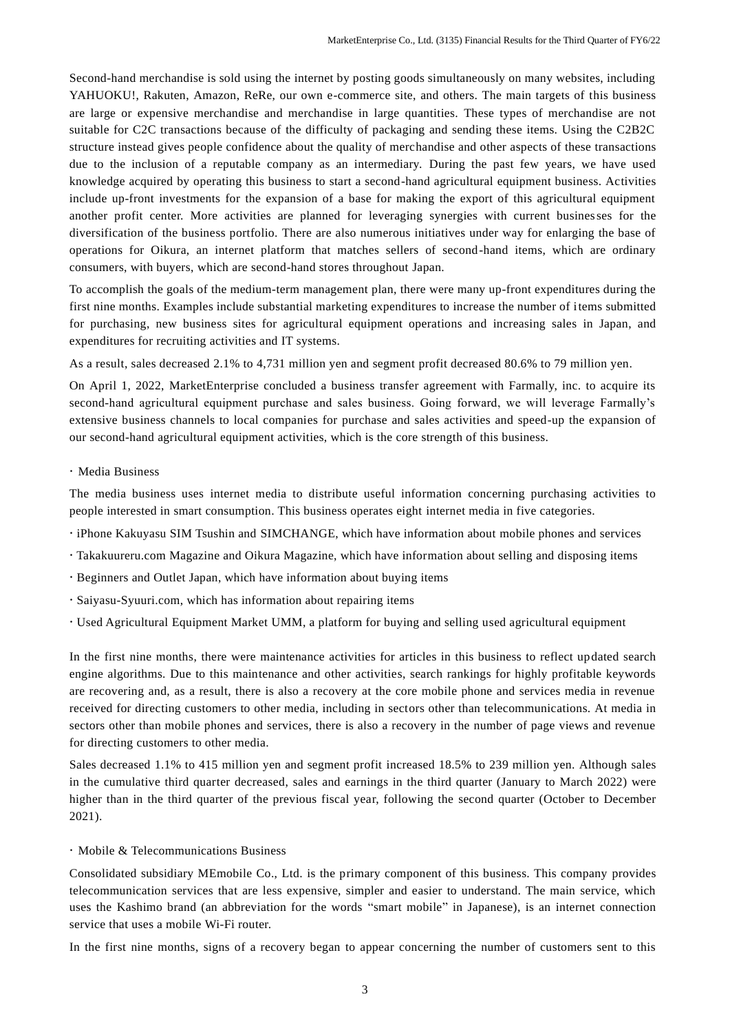Second-hand merchandise is sold using the internet by posting goods simultaneously on many websites, including YAHUOKU!, Rakuten, Amazon, ReRe, our own e-commerce site, and others. The main targets of this business are large or expensive merchandise and merchandise in large quantities. These types of merchandise are not suitable for C2C transactions because of the difficulty of packaging and sending these items. Using the C2B2C structure instead gives people confidence about the quality of merchandise and other aspects of these transactions due to the inclusion of a reputable company as an intermediary. During the past few years, we have used knowledge acquired by operating this business to start a second-hand agricultural equipment business. Activities include up-front investments for the expansion of a base for making the export of this agricultural equipment another profit center. More activities are planned for leveraging synergies with current businesses for the diversification of the business portfolio. There are also numerous initiatives under way for enlarging the base of operations for Oikura, an internet platform that matches sellers of second-hand items, which are ordinary consumers, with buyers, which are second-hand stores throughout Japan.

To accomplish the goals of the medium-term management plan, there were many up-front expenditures during the first nine months. Examples include substantial marketing expenditures to increase the number of items submitted for purchasing, new business sites for agricultural equipment operations and increasing sales in Japan, and expenditures for recruiting activities and IT systems.

As a result, sales decreased 2.1% to 4,731 million yen and segment profit decreased 80.6% to 79 million yen.

On April 1, 2022, MarketEnterprise concluded a business transfer agreement with Farmally, inc. to acquire its second-hand agricultural equipment purchase and sales business. Going forward, we will leverage Farmally's extensive business channels to local companies for purchase and sales activities and speed-up the expansion of our second-hand agricultural equipment activities, which is the core strength of this business.

#### Media Business

The media business uses internet media to distribute useful information concerning purchasing activities to people interested in smart consumption. This business operates eight internet media in five categories.

- $\cdot$  iPhone Kakuyasu SIM Tsushin and SIMCHANGE, which have information about mobile phones and services
- Takakuureru.com Magazine and Oikura Magazine, which have information about selling and disposing items
- Beginners and Outlet Japan, which have information about buying items
- Saiyasu-Syuuri.com, which has information about repairing items
- Used Agricultural Equipment Market UMM, a platform for buying and selling used agricultural equipment

In the first nine months, there were maintenance activities for articles in this business to reflect updated search engine algorithms. Due to this maintenance and other activities, search rankings for highly profitable keywords are recovering and, as a result, there is also a recovery at the core mobile phone and services media in revenue received for directing customers to other media, including in sectors other than telecommunications. At media in sectors other than mobile phones and services, there is also a recovery in the number of page views and revenue for directing customers to other media.

Sales decreased 1.1% to 415 million yen and segment profit increased 18.5% to 239 million yen. Although sales in the cumulative third quarter decreased, sales and earnings in the third quarter (January to March 2022) were higher than in the third quarter of the previous fiscal year, following the second quarter (October to December 2021).

#### Mobile & Telecommunications Business

Consolidated subsidiary MEmobile Co., Ltd. is the primary component of this business. This company provides telecommunication services that are less expensive, simpler and easier to understand. The main service, which uses the Kashimo brand (an abbreviation for the words "smart mobile" in Japanese), is an internet connection service that uses a mobile Wi-Fi router.

In the first nine months, signs of a recovery began to appear concerning the number of customers sent to this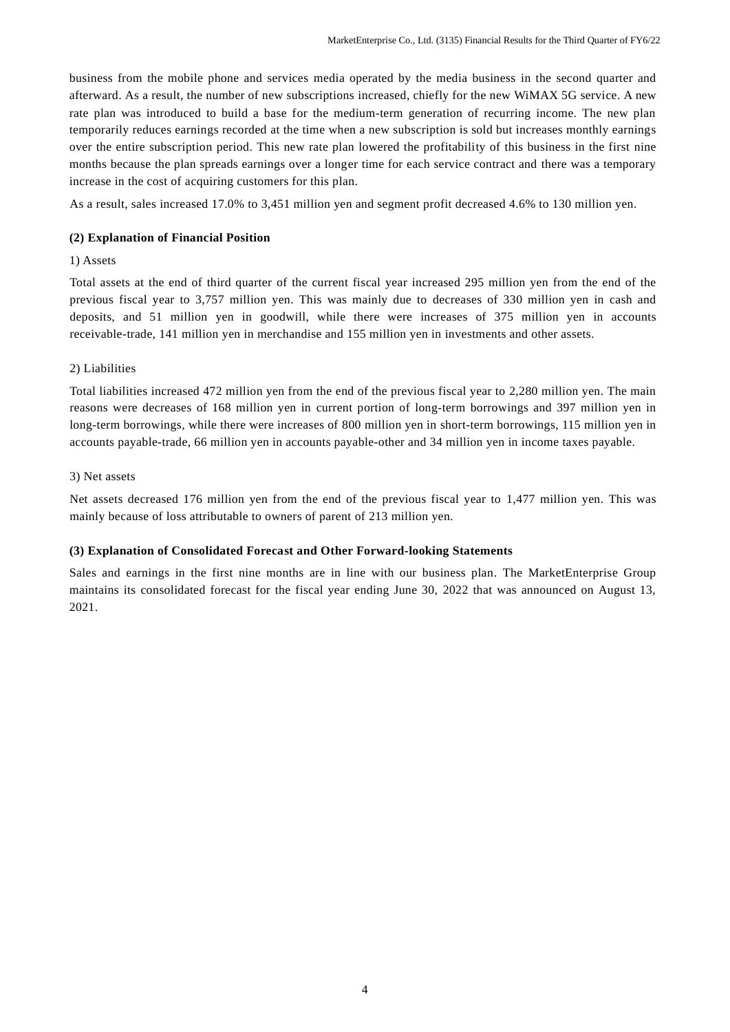business from the mobile phone and services media operated by the media business in the second quarter and afterward. As a result, the number of new subscriptions increased, chiefly for the new WiMAX 5G service. A new rate plan was introduced to build a base for the medium-term generation of recurring income. The new plan temporarily reduces earnings recorded at the time when a new subscription is sold but increases monthly earnings over the entire subscription period. This new rate plan lowered the profitability of this business in the first nine months because the plan spreads earnings over a longer time for each service contract and there was a temporary increase in the cost of acquiring customers for this plan.

As a result, sales increased 17.0% to 3,451 million yen and segment profit decreased 4.6% to 130 million yen.

## **(2) Explanation of Financial Position**

#### 1) Assets

Total assets at the end of third quarter of the current fiscal year increased 295 million yen from the end of the previous fiscal year to 3,757 million yen. This was mainly due to decreases of 330 million yen in cash and deposits, and 51 million yen in goodwill, while there were increases of 375 million yen in accounts receivable-trade, 141 million yen in merchandise and 155 million yen in investments and other assets.

## 2) Liabilities

Total liabilities increased 472 million yen from the end of the previous fiscal year to 2,280 million yen. The main reasons were decreases of 168 million yen in current portion of long-term borrowings and 397 million yen in long-term borrowings, while there were increases of 800 million yen in short-term borrowings, 115 million yen in accounts payable-trade, 66 million yen in accounts payable-other and 34 million yen in income taxes payable.

#### 3) Net assets

Net assets decreased 176 million yen from the end of the previous fiscal year to 1,477 million yen. This was mainly because of loss attributable to owners of parent of 213 million yen.

#### **(3) Explanation of Consolidated Forecast and Other Forward-looking Statements**

Sales and earnings in the first nine months are in line with our business plan. The MarketEnterprise Group maintains its consolidated forecast for the fiscal year ending June 30, 2022 that was announced on August 13, 2021.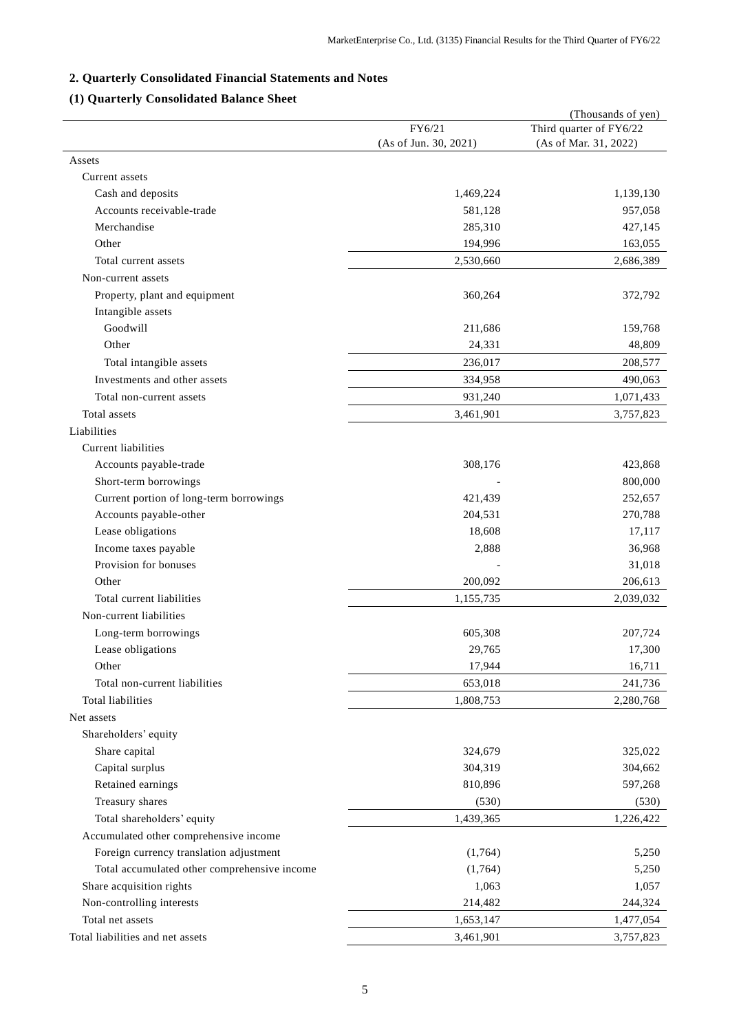# **2. Quarterly Consolidated Financial Statements and Notes**

# **(1) Quarterly Consolidated Balance Sheet**

|                                              |                       | (Thousands of yen)      |
|----------------------------------------------|-----------------------|-------------------------|
|                                              | FY6/21                | Third quarter of FY6/22 |
|                                              | (As of Jun. 30, 2021) | (As of Mar. 31, 2022)   |
| Assets                                       |                       |                         |
| Current assets                               |                       |                         |
| Cash and deposits                            | 1,469,224             | 1,139,130               |
| Accounts receivable-trade                    | 581,128               | 957,058                 |
| Merchandise                                  | 285,310               | 427,145                 |
| Other                                        | 194,996               | 163,055                 |
| Total current assets                         | 2,530,660             | 2,686,389               |
| Non-current assets                           |                       |                         |
| Property, plant and equipment                | 360,264               | 372,792                 |
| Intangible assets                            |                       |                         |
| Goodwill                                     | 211,686               | 159,768                 |
| Other                                        | 24,331                | 48,809                  |
| Total intangible assets                      | 236,017               | 208,577                 |
| Investments and other assets                 | 334,958               | 490,063                 |
| Total non-current assets                     | 931,240               | 1,071,433               |
| Total assets                                 | 3,461,901             | 3,757,823               |
| Liabilities                                  |                       |                         |
| Current liabilities                          |                       |                         |
| Accounts payable-trade                       | 308,176               | 423,868                 |
| Short-term borrowings                        |                       | 800,000                 |
| Current portion of long-term borrowings      | 421,439               | 252,657                 |
| Accounts payable-other                       | 204,531               | 270,788                 |
| Lease obligations                            | 18,608                | 17,117                  |
| Income taxes payable                         | 2,888                 | 36,968                  |
| Provision for bonuses                        |                       | 31,018                  |
| Other                                        | 200,092               | 206,613                 |
| Total current liabilities                    |                       |                         |
|                                              | 1,155,735             | 2,039,032               |
| Non-current liabilities                      |                       |                         |
| Long-term borrowings                         | 605,308               | 207,724                 |
| Lease obligations                            | 29,765                | 17,300                  |
| Other                                        | 17,944                | 16,711                  |
| Total non-current liabilities                | 653,018               | 241,736                 |
| Total liabilities                            | 1,808,753             | 2,280,768               |
| Net assets                                   |                       |                         |
| Shareholders' equity                         |                       |                         |
| Share capital                                | 324,679               | 325,022                 |
| Capital surplus                              | 304,319               | 304,662                 |
| Retained earnings                            | 810,896               | 597,268                 |
| Treasury shares                              | (530)                 | (530)                   |
| Total shareholders' equity                   | 1,439,365             | 1,226,422               |
| Accumulated other comprehensive income       |                       |                         |
| Foreign currency translation adjustment      | (1,764)               | 5,250                   |
| Total accumulated other comprehensive income | (1,764)               | 5,250                   |
| Share acquisition rights                     | 1,063                 | 1,057                   |
| Non-controlling interests                    | 214,482               | 244,324                 |
| Total net assets                             | 1,653,147             | 1,477,054               |
| Total liabilities and net assets             | 3,461,901             | 3,757,823               |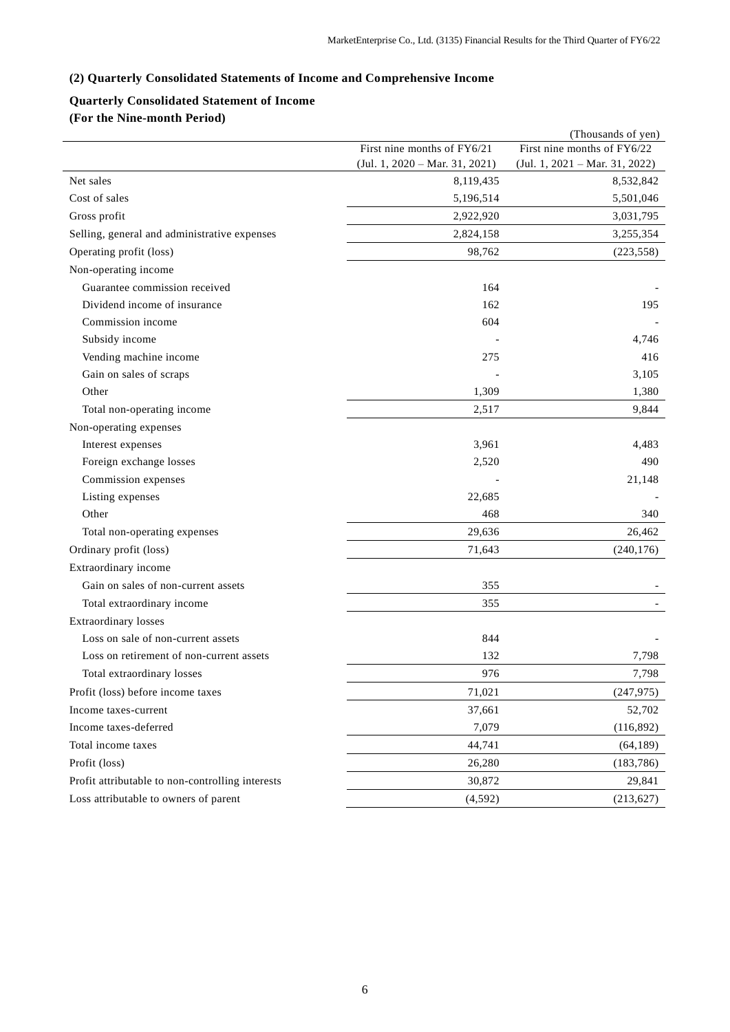# **(2) Quarterly Consolidated Statements of Income and Comprehensive Income**

# **Quarterly Consolidated Statement of Income**

**(For the Nine-month Period)**

|                                                  | (Thousands of yen)               |                                  |  |  |
|--------------------------------------------------|----------------------------------|----------------------------------|--|--|
|                                                  | First nine months of FY6/21      | First nine months of FY6/22      |  |  |
|                                                  | $(Jul. 1, 2020 - Mar. 31, 2021)$ | $(Jul. 1, 2021 - Mar. 31, 2022)$ |  |  |
| Net sales                                        | 8,119,435                        | 8,532,842                        |  |  |
| Cost of sales                                    | 5,196,514                        | 5,501,046                        |  |  |
| Gross profit                                     | 2,922,920                        | 3,031,795                        |  |  |
| Selling, general and administrative expenses     | 2,824,158                        | 3,255,354                        |  |  |
| Operating profit (loss)                          | 98,762                           | (223, 558)                       |  |  |
| Non-operating income                             |                                  |                                  |  |  |
| Guarantee commission received                    | 164                              |                                  |  |  |
| Dividend income of insurance                     | 162                              | 195                              |  |  |
| Commission income                                | 604                              |                                  |  |  |
| Subsidy income                                   |                                  | 4,746                            |  |  |
| Vending machine income                           | 275                              | 416                              |  |  |
| Gain on sales of scraps                          |                                  | 3,105                            |  |  |
| Other                                            | 1,309                            | 1,380                            |  |  |
| Total non-operating income                       | 2,517                            | 9,844                            |  |  |
| Non-operating expenses                           |                                  |                                  |  |  |
| Interest expenses                                | 3,961                            | 4,483                            |  |  |
| Foreign exchange losses                          | 2,520                            | 490                              |  |  |
| Commission expenses                              |                                  | 21,148                           |  |  |
| Listing expenses                                 | 22,685                           |                                  |  |  |
| Other                                            | 468                              | 340                              |  |  |
| Total non-operating expenses                     | 29,636                           | 26,462                           |  |  |
| Ordinary profit (loss)                           | 71,643                           | (240, 176)                       |  |  |
| Extraordinary income                             |                                  |                                  |  |  |
| Gain on sales of non-current assets              | 355                              |                                  |  |  |
| Total extraordinary income                       | 355                              |                                  |  |  |
| <b>Extraordinary losses</b>                      |                                  |                                  |  |  |
| Loss on sale of non-current assets               | 844                              |                                  |  |  |
| Loss on retirement of non-current assets         | 132                              | 7,798                            |  |  |
| Total extraordinary losses                       | 976                              | 7,798                            |  |  |
| Profit (loss) before income taxes                | 71,021                           | (247, 975)                       |  |  |
| Income taxes-current                             | 37,661                           | 52,702                           |  |  |
| Income taxes-deferred                            | 7,079                            | (116,892)                        |  |  |
| Total income taxes                               | 44,741                           | (64, 189)                        |  |  |
| Profit (loss)                                    | 26,280                           | (183, 786)                       |  |  |
| Profit attributable to non-controlling interests | 30,872                           | 29,841                           |  |  |
| Loss attributable to owners of parent            | (4, 592)                         | (213, 627)                       |  |  |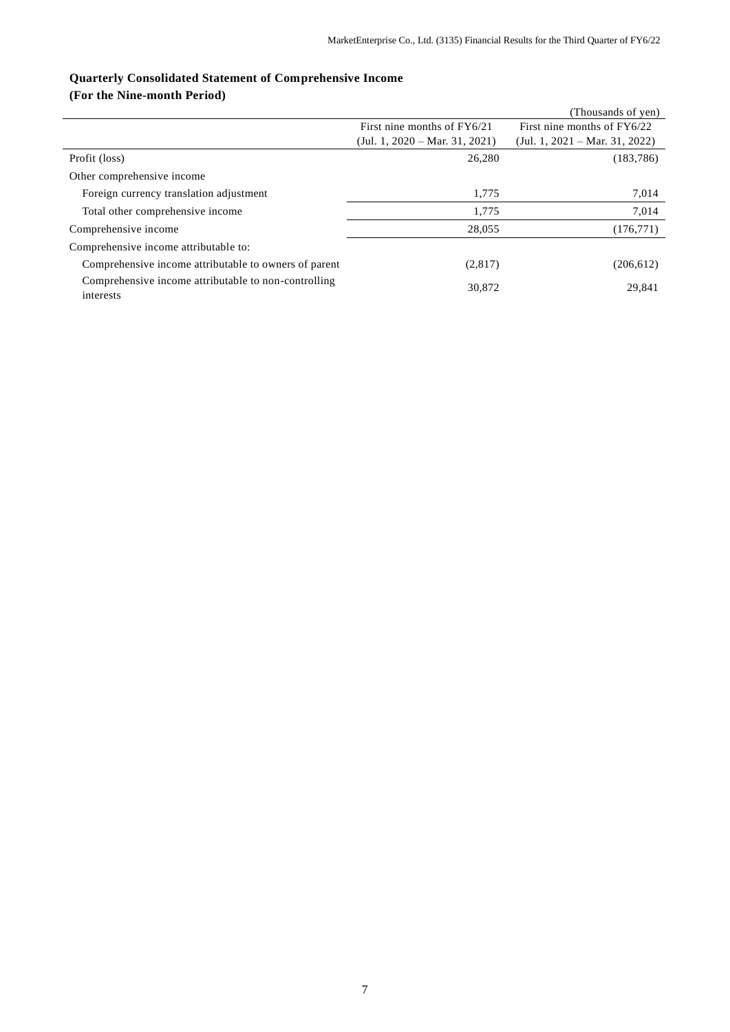# **Quarterly Consolidated Statement of Comprehensive Income**

**(For the Nine-month Period)**

|                                                                   |                                  | (Thousands of yen)               |
|-------------------------------------------------------------------|----------------------------------|----------------------------------|
|                                                                   | First nine months of FY6/21      | First nine months of FY6/22      |
|                                                                   | $(Jul. 1, 2020 - Mar. 31, 2021)$ | $(Jul. 1, 2021 - Mar. 31, 2022)$ |
| Profit (loss)                                                     | 26,280                           | (183, 786)                       |
| Other comprehensive income                                        |                                  |                                  |
| Foreign currency translation adjustment                           | 1.775                            | 7,014                            |
| Total other comprehensive income                                  | 1.775                            | 7,014                            |
| Comprehensive income                                              | 28,055                           | (176, 771)                       |
| Comprehensive income attributable to:                             |                                  |                                  |
| Comprehensive income attributable to owners of parent             | (2,817)                          | (206, 612)                       |
| Comprehensive income attributable to non-controlling<br>interests | 30,872                           | 29,841                           |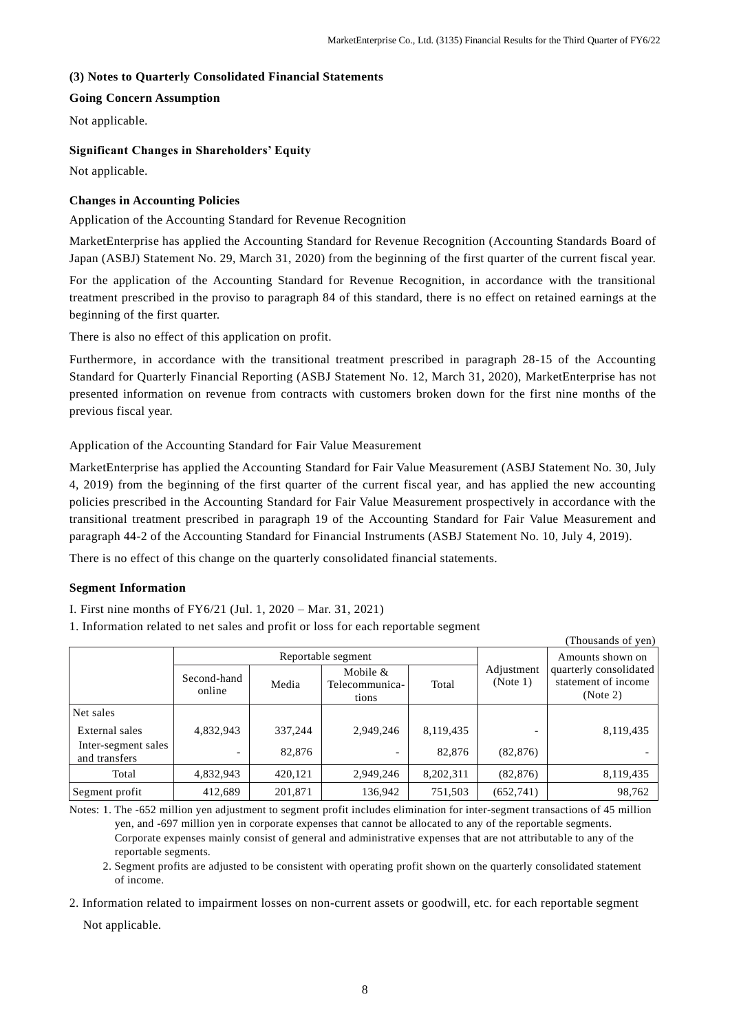$(Thouezada of yon)$ 

## **(3) Notes to Quarterly Consolidated Financial Statements**

## **Going Concern Assumption**

Not applicable.

## **Significant Changes in Shareholders' Equity**

Not applicable.

# **Changes in Accounting Policies**

Application of the Accounting Standard for Revenue Recognition

MarketEnterprise has applied the Accounting Standard for Revenue Recognition (Accounting Standards Board of Japan (ASBJ) Statement No. 29, March 31, 2020) from the beginning of the first quarter of the current fiscal year.

For the application of the Accounting Standard for Revenue Recognition, in accordance with the transitional treatment prescribed in the proviso to paragraph 84 of this standard, there is no effect on retained earnings at the beginning of the first quarter.

There is also no effect of this application on profit.

Furthermore, in accordance with the transitional treatment prescribed in paragraph 28-15 of the Accounting Standard for Quarterly Financial Reporting (ASBJ Statement No. 12, March 31, 2020), MarketEnterprise has not presented information on revenue from contracts with customers broken down for the first nine months of the previous fiscal year.

Application of the Accounting Standard for Fair Value Measurement

MarketEnterprise has applied the Accounting Standard for Fair Value Measurement (ASBJ Statement No. 30, July 4, 2019) from the beginning of the first quarter of the current fiscal year, and has applied the new accounting policies prescribed in the Accounting Standard for Fair Value Measurement prospectively in accordance with the transitional treatment prescribed in paragraph 19 of the Accounting Standard for Fair Value Measurement and paragraph 44-2 of the Accounting Standard for Financial Instruments (ASBJ Statement No. 10, July 4, 2019).

There is no effect of this change on the quarterly consolidated financial statements.

# **Segment Information**

I. First nine months of FY6/21 (Jul. 1, 2020 – Mar. 31, 2021)

1. Information related to net sales and profit or loss for each reportable segment

| Thousands of year.                   |                       |                    |                                     |                  |                        |                                                           |  |  |
|--------------------------------------|-----------------------|--------------------|-------------------------------------|------------------|------------------------|-----------------------------------------------------------|--|--|
|                                      |                       | Reportable segment |                                     | Amounts shown on |                        |                                                           |  |  |
|                                      | Second-hand<br>online | Media              | Mobile &<br>Telecommunica-<br>tions | Total            | Adjustment<br>(Note 1) | quarterly consolidated<br>statement of income<br>(Note 2) |  |  |
| Net sales                            |                       |                    |                                     |                  |                        |                                                           |  |  |
| External sales                       | 4,832,943             | 337,244            | 2,949,246                           | 8,119,435        |                        | 8,119,435                                                 |  |  |
| Inter-segment sales<br>and transfers |                       | 82,876             |                                     | 82,876           | (82, 876)              |                                                           |  |  |
| Total                                | 4,832,943             | 420,121            | 2,949,246                           | 8,202,311        | (82, 876)              | 8,119,435                                                 |  |  |
| Segment profit                       | 412,689               | 201,871            | 136,942                             | 751,503          | (652,741)              | 98,762                                                    |  |  |

Notes: 1. The -652 million yen adjustment to segment profit includes elimination for inter-segment transactions of 45 million yen, and -697 million yen in corporate expenses that cannot be allocated to any of the reportable segments. Corporate expenses mainly consist of general and administrative expenses that are not attributable to any of the reportable segments.

2. Segment profits are adjusted to be consistent with operating profit shown on the quarterly consolidated statement of income.

2. Information related to impairment losses on non-current assets or goodwill, etc. for each reportable segment Not applicable.